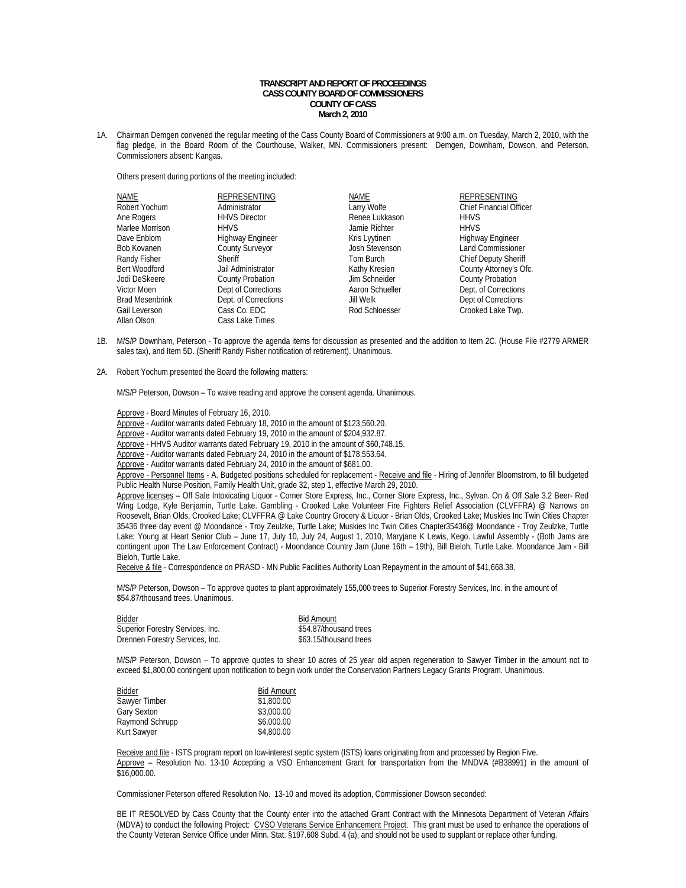## **TRANSCRIPT AND REPORT OF PROCEEDINGS CASS COUNTY BOARD OF COMMISSIONERS COUNTY OF CASS March 2, 2010**

1A. Chairman Demgen convened the regular meeting of the Cass County Board of Commissioners at 9:00 a.m. on Tuesday, March 2, 2010, with the flag pledge, in the Board Room of the Courthouse, Walker, MN. Commissioners present: Demgen, Downham, Dowson, and Peterson. Commissioners absent: Kangas.

Others present during portions of the meeting included:

| <b>NAME</b>            | <b>REPRESENTING</b>     | <b>NAME</b>           | <b>REPRESENTING</b>            |
|------------------------|-------------------------|-----------------------|--------------------------------|
| Robert Yochum          | Administrator           | Larry Wolfe           | <b>Chief Financial Officer</b> |
| Ane Rogers             | <b>HHVS Director</b>    | Renee Lukkason        | <b>HHVS</b>                    |
| Marlee Morrison        | <b>HHVS</b>             | Jamie Richter         | <b>HHVS</b>                    |
| Dave Enblom            | <b>Highway Engineer</b> | Kris Lyytinen         | <b>Highway Engineer</b>        |
| Bob Kovanen            | <b>County Surveyor</b>  | <b>Josh Stevenson</b> | <b>Land Commissioner</b>       |
| Randy Fisher           | Sheriff                 | Tom Burch             | <b>Chief Deputy Sheriff</b>    |
| Bert Woodford          | Jail Administrator      | Kathy Kresien         | County Attorney's Ofc.         |
| Jodi DeSkeere          | <b>County Probation</b> | Jim Schneider         | <b>County Probation</b>        |
| Victor Moen            | Dept of Corrections     | Aaron Schueller       | Dept. of Corrections           |
| <b>Brad Mesenbrink</b> | Dept. of Corrections    | Jill Welk             | Dept of Corrections            |
| Gail Leverson          | Cass Co. EDC            | Rod Schloesser        | Crooked Lake Twp.              |
| Allan Olson            | Cass Lake Times         |                       |                                |

- 1B. M/S/P Downham, Peterson To approve the agenda items for discussion as presented and the addition to Item 2C. (House File #2779 ARMER sales tax), and Item 5D. (Sheriff Randy Fisher notification of retirement). Unanimous.
- 2A. Robert Yochum presented the Board the following matters:

M/S/P Peterson, Dowson – To waive reading and approve the consent agenda. Unanimous.

- Approve Board Minutes of February 16, 2010.
- Approve Auditor warrants dated February 18, 2010 in the amount of \$123,560.20.
- Approve Auditor warrants dated February 19, 2010 in the amount of \$204,932.87.
- Approve HHVS Auditor warrants dated February 19, 2010 in the amount of \$60,748.15.
- Approve Auditor warrants dated February 24, 2010 in the amount of \$178,553.64.
- Approve Auditor warrants dated February 24, 2010 in the amount of \$681.00.

Approve - Personnel Items - A. Budgeted positions scheduled for replacement - Receive and file - Hiring of Jennifer Bloomstrom, to fill budgeted Public Health Nurse Position, Family Health Unit, grade 32, step 1, effective March 29, 2010.

Approve licenses – Off Sale Intoxicating Liquor - Corner Store Express, Inc., Corner Store Express, Inc., Sylvan. On & Off Sale 3.2 Beer- Red Wing Lodge, Kyle Benjamin, Turtle Lake. Gambling - Crooked Lake Volunteer Fire Fighters Relief Association (CLVFFRA) @ Narrows on Roosevelt, Brian Olds, Crooked Lake; CLVFFRA @ Lake Country Grocery & Liquor - Brian Olds, Crooked Lake; Muskies Inc Twin Cities Chapter 35436 three day event @ Moondance - Troy Zeulzke, Turtle Lake; Muskies Inc Twin Cities Chapter35436@ Moondance - Troy Zeulzke, Turtle Lake; Young at Heart Senior Club – June 17, July 10, July 24, August 1, 2010, Maryjane K Lewis, Kego. Lawful Assembly - (Both Jams are contingent upon The Law Enforcement Contract) - Moondance Country Jam (June 16th – 19th), Bill Bieloh, Turtle Lake. Moondance Jam - Bill Bieloh, Turtle Lake.

Receive & file - Correspondence on PRASD - MN Public Facilities Authority Loan Repayment in the amount of \$41,668.38.

 M/S/P Peterson, Dowson – To approve quotes to plant approximately 155,000 trees to Superior Forestry Services, Inc. in the amount of \$54.87/thousand trees. Unanimous.

 Bidder Bid Amount Superior Forestry Services, Inc. 600 \$54.87/thousand trees Drennen Forestry Services, Inc. \$63.15/thousand trees

 M/S/P Peterson, Dowson – To approve quotes to shear 10 acres of 25 year old aspen regeneration to Sawyer Timber in the amount not to exceed \$1,800.00 contingent upon notification to begin work under the Conservation Partners Legacy Grants Program. Unanimous.

| Bidder             | <b>Bid Amount</b> |
|--------------------|-------------------|
| Sawyer Timber      | \$1,800.00        |
| <b>Gary Sexton</b> | \$3,000.00        |
| Raymond Schrupp    | \$6,000.00        |
| Kurt Sawyer        | \$4,800.00        |

Receive and file - ISTS program report on low-interest septic system (ISTS) loans originating from and processed by Region Five. Approve - Resolution No. 13-10 Accepting a VSO Enhancement Grant for transportation from the MNDVA (#B38991) in the amount of \$16,000.00.

Commissioner Peterson offered Resolution No. 13-10 and moved its adoption, Commissioner Dowson seconded:

BE IT RESOLVED by Cass County that the County enter into the attached Grant Contract with the Minnesota Department of Veteran Affairs (MDVA) to conduct the following Project: CVSO Veterans Service Enhancement Project. This grant must be used to enhance the operations of the County Veteran Service Office under Minn. Stat. §197.608 Subd. 4 (a), and should not be used to supplant or replace other funding.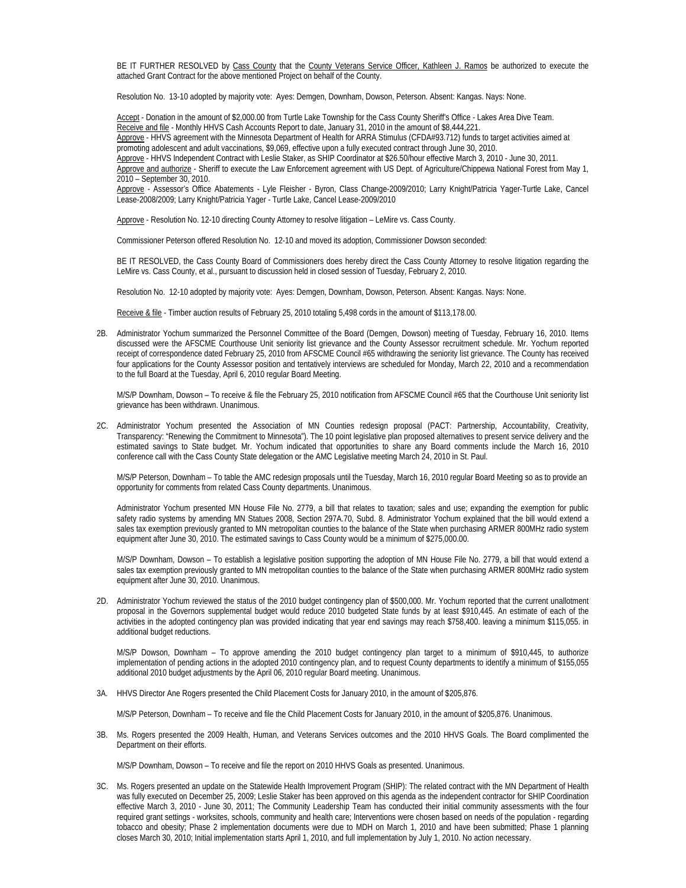BE IT FURTHER RESOLVED by Cass County that the County Veterans Service Officer, Kathleen J. Ramos be authorized to execute the attached Grant Contract for the above mentioned Project on behalf of the County.

Resolution No. 13-10 adopted by majority vote: Ayes: Demgen, Downham, Dowson, Peterson. Absent: Kangas. Nays: None.

Accept - Donation in the amount of \$2,000.00 from Turtle Lake Township for the Cass County Sheriff's Office - Lakes Area Dive Team. Receive and file - Monthly HHVS Cash Accounts Report to date, January 31, 2010 in the amount of \$8,444,221. Approve - HHVS agreement with the Minnesota Department of Health for ARRA Stimulus (CFDA#93.712) funds to target activities aimed at promoting adolescent and adult vaccinations, \$9,069, effective upon a fully executed contract through June 30, 2010. Approve - HHVS Independent Contract with Leslie Staker, as SHIP Coordinator at \$26.50/hour effective March 3, 2010 - June 30, 2011. Approve and authorize - Sheriff to execute the Law Enforcement agreement with US Dept. of Agriculture/Chippewa National Forest from May 1, 2010 – September 30, 2010.

 Approve - Assessor's Office Abatements - Lyle Fleisher - Byron, Class Change-2009/2010; Larry Knight/Patricia Yager-Turtle Lake, Cancel Lease-2008/2009; Larry Knight/Patricia Yager - Turtle Lake, Cancel Lease-2009/2010

Approve - Resolution No. 12-10 directing County Attorney to resolve litigation - LeMire vs. Cass County.

Commissioner Peterson offered Resolution No. 12-10 and moved its adoption, Commissioner Dowson seconded:

BE IT RESOLVED, the Cass County Board of Commissioners does hereby direct the Cass County Attorney to resolve litigation regarding the LeMire vs. Cass County, et al., pursuant to discussion held in closed session of Tuesday, February 2, 2010.

Resolution No. 12-10 adopted by majority vote: Ayes: Demgen, Downham, Dowson, Peterson. Absent: Kangas. Nays: None.

Receive & file - Timber auction results of February 25, 2010 totaling 5,498 cords in the amount of \$113,178.00.

2B. Administrator Yochum summarized the Personnel Committee of the Board (Demgen, Dowson) meeting of Tuesday, February 16, 2010. Items discussed were the AFSCME Courthouse Unit seniority list grievance and the County Assessor recruitment schedule. Mr. Yochum reported receipt of correspondence dated February 25, 2010 from AFSCME Council #65 withdrawing the seniority list grievance. The County has received four applications for the County Assessor position and tentatively interviews are scheduled for Monday, March 22, 2010 and a recommendation to the full Board at the Tuesday, April 6, 2010 regular Board Meeting.

 M/S/P Downham, Dowson – To receive & file the February 25, 2010 notification from AFSCME Council #65 that the Courthouse Unit seniority list grievance has been withdrawn. Unanimous.

2C. Administrator Yochum presented the Association of MN Counties redesign proposal (PACT: Partnership, Accountability, Creativity, Transparency: "Renewing the Commitment to Minnesota"). The 10 point legislative plan proposed alternatives to present service delivery and the estimated savings to State budget. Mr. Yochum indicated that opportunities to share any Board comments include the March 16, 2010 conference call with the Cass County State delegation or the AMC Legislative meeting March 24, 2010 in St. Paul.

M/S/P Peterson, Downham – To table the AMC redesign proposals until the Tuesday, March 16, 2010 regular Board Meeting so as to provide an opportunity for comments from related Cass County departments. Unanimous.

Administrator Yochum presented MN House File No. 2779, a bill that relates to taxation; sales and use; expanding the exemption for public safety radio systems by amending MN Statues 2008, Section 297A.70, Subd. 8. Administrator Yochum explained that the bill would extend a sales tax exemption previously granted to MN metropolitan counties to the balance of the State when purchasing ARMER 800MHz radio system equipment after June 30, 2010. The estimated savings to Cass County would be a minimum of \$275,000.00.

M/S/P Downham, Dowson – To establish a legislative position supporting the adoption of MN House File No. 2779, a bill that would extend a sales tax exemption previously granted to MN metropolitan counties to the balance of the State when purchasing ARMER 800MHz radio system equipment after June 30, 2010. Unanimous.

2D. Administrator Yochum reviewed the status of the 2010 budget contingency plan of \$500,000. Mr. Yochum reported that the current unallotment proposal in the Governors supplemental budget would reduce 2010 budgeted State funds by at least \$910,445. An estimate of each of the activities in the adopted contingency plan was provided indicating that year end savings may reach \$758,400. leaving a minimum \$115,055. in additional budget reductions.

M/S/P Dowson, Downham – To approve amending the 2010 budget contingency plan target to a minimum of \$910,445, to authorize implementation of pending actions in the adopted 2010 contingency plan, and to request County departments to identify a minimum of \$155,055 additional 2010 budget adjustments by the April 06, 2010 regular Board meeting. Unanimous.

3A. HHVS Director Ane Rogers presented the Child Placement Costs for January 2010, in the amount of \$205,876.

M/S/P Peterson, Downham – To receive and file the Child Placement Costs for January 2010, in the amount of \$205,876. Unanimous.

3B. Ms. Rogers presented the 2009 Health, Human, and Veterans Services outcomes and the 2010 HHVS Goals. The Board complimented the Department on their efforts.

M/S/P Downham, Dowson – To receive and file the report on 2010 HHVS Goals as presented. Unanimous.

3C. Ms. Rogers presented an update on the Statewide Health Improvement Program (SHIP): The related contract with the MN Department of Health was fully executed on December 25, 2009; Leslie Staker has been approved on this agenda as the independent contractor for SHIP Coordination effective March 3, 2010 - June 30, 2011; The Community Leadership Team has conducted their initial community assessments with the four required grant settings - worksites, schools, community and health care; Interventions were chosen based on needs of the population - regarding tobacco and obesity; Phase 2 implementation documents were due to MDH on March 1, 2010 and have been submitted; Phase 1 planning closes March 30, 2010; Initial implementation starts April 1, 2010, and full implementation by July 1, 2010. No action necessary.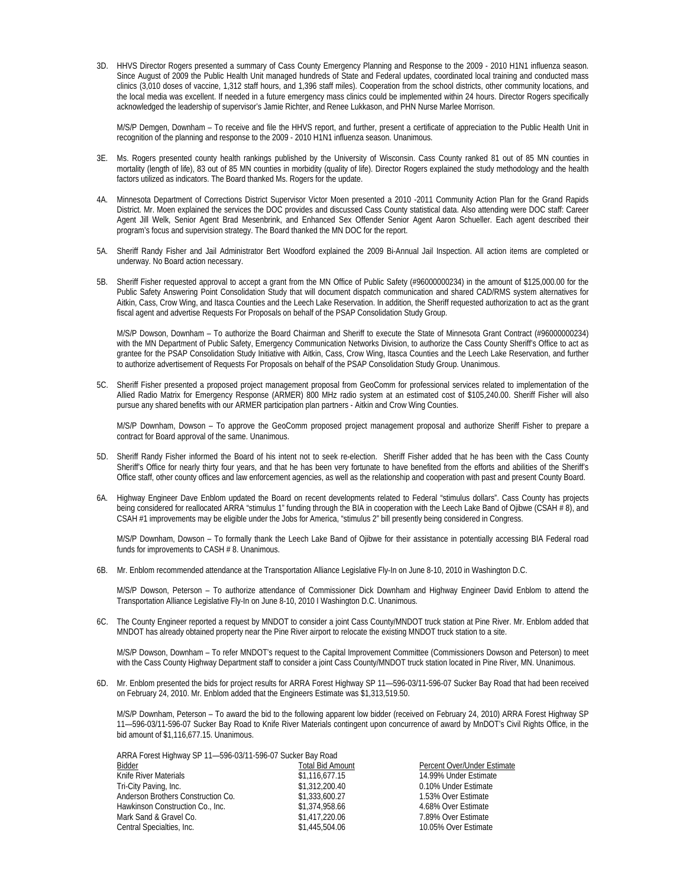3D. HHVS Director Rogers presented a summary of Cass County Emergency Planning and Response to the 2009 - 2010 H1N1 influenza season. Since August of 2009 the Public Health Unit managed hundreds of State and Federal updates, coordinated local training and conducted mass clinics (3,010 doses of vaccine, 1,312 staff hours, and 1,396 staff miles). Cooperation from the school districts, other community locations, and the local media was excellent. If needed in a future emergency mass clinics could be implemented within 24 hours. Director Rogers specifically acknowledged the leadership of supervisor's Jamie Richter, and Renee Lukkason, and PHN Nurse Marlee Morrison.

M/S/P Demgen, Downham – To receive and file the HHVS report, and further, present a certificate of appreciation to the Public Health Unit in recognition of the planning and response to the 2009 - 2010 H1N1 influenza season. Unanimous.

- 3E. Ms. Rogers presented county health rankings published by the University of Wisconsin. Cass County ranked 81 out of 85 MN counties in mortality (length of life), 83 out of 85 MN counties in morbidity (quality of life). Director Rogers explained the study methodology and the health factors utilized as indicators. The Board thanked Ms. Rogers for the update.
- 4A. Minnesota Department of Corrections District Supervisor Victor Moen presented a 2010 -2011 Community Action Plan for the Grand Rapids District. Mr. Moen explained the services the DOC provides and discussed Cass County statistical data. Also attending were DOC staff: Career Agent Jill Welk, Senior Agent Brad Mesenbrink, and Enhanced Sex Offender Senior Agent Aaron Schueller. Each agent described their program's focus and supervision strategy. The Board thanked the MN DOC for the report.
- 5A. Sheriff Randy Fisher and Jail Administrator Bert Woodford explained the 2009 Bi-Annual Jail Inspection. All action items are completed or underway. No Board action necessary.
- 5B. Sheriff Fisher requested approval to accept a grant from the MN Office of Public Safety (#96000000234) in the amount of \$125,000.00 for the Public Safety Answering Point Consolidation Study that will document dispatch communication and shared CAD/RMS system alternatives for Aitkin, Cass, Crow Wing, and Itasca Counties and the Leech Lake Reservation. In addition, the Sheriff requested authorization to act as the grant fiscal agent and advertise Requests For Proposals on behalf of the PSAP Consolidation Study Group.

M/S/P Dowson, Downham – To authorize the Board Chairman and Sheriff to execute the State of Minnesota Grant Contract (#96000000234) with the MN Department of Public Safety, Emergency Communication Networks Division, to authorize the Cass County Sheriff's Office to act as grantee for the PSAP Consolidation Study Initiative with Aitkin, Cass, Crow Wing, Itasca Counties and the Leech Lake Reservation, and further to authorize advertisement of Requests For Proposals on behalf of the PSAP Consolidation Study Group. Unanimous.

5C. Sheriff Fisher presented a proposed project management proposal from GeoComm for professional services related to implementation of the Allied Radio Matrix for Emergency Response (ARMER) 800 MHz radio system at an estimated cost of \$105,240.00. Sheriff Fisher will also pursue any shared benefits with our ARMER participation plan partners - Aitkin and Crow Wing Counties.

 M/S/P Downham, Dowson – To approve the GeoComm proposed project management proposal and authorize Sheriff Fisher to prepare a contract for Board approval of the same. Unanimous.

- 5D. Sheriff Randy Fisher informed the Board of his intent not to seek re-election. Sheriff Fisher added that he has been with the Cass County Sheriff's Office for nearly thirty four years, and that he has been very fortunate to have benefited from the efforts and abilities of the Sheriff's Office staff, other county offices and law enforcement agencies, as well as the relationship and cooperation with past and present County Board.
- 6A. Highway Engineer Dave Enblom updated the Board on recent developments related to Federal "stimulus dollars". Cass County has projects being considered for reallocated ARRA "stimulus 1" funding through the BIA in cooperation with the Leech Lake Band of Ojibwe (CSAH # 8), and CSAH #1 improvements may be eligible under the Jobs for America, "stimulus 2" bill presently being considered in Congress.

 M/S/P Downham, Dowson – To formally thank the Leech Lake Band of Ojibwe for their assistance in potentially accessing BIA Federal road funds for improvements to CASH # 8. Unanimous.

6B. Mr. Enblom recommended attendance at the Transportation Alliance Legislative Fly-In on June 8-10, 2010 in Washington D.C.

M/S/P Dowson, Peterson – To authorize attendance of Commissioner Dick Downham and Highway Engineer David Enblom to attend the Transportation Alliance Legislative Fly-In on June 8-10, 2010 I Washington D.C. Unanimous.

6C. The County Engineer reported a request by MNDOT to consider a joint Cass County/MNDOT truck station at Pine River. Mr. Enblom added that MNDOT has already obtained property near the Pine River airport to relocate the existing MNDOT truck station to a site.

M/S/P Dowson, Downham – To refer MNDOT's request to the Capital Improvement Committee (Commissioners Dowson and Peterson) to meet with the Cass County Highway Department staff to consider a joint Cass County/MNDOT truck station located in Pine River, MN. Unanimous.

6D. Mr. Enblom presented the bids for project results for ARRA Forest Highway SP 11—596-03/11-596-07 Sucker Bay Road that had been received on February 24, 2010. Mr. Enblom added that the Engineers Estimate was \$1,313,519.50.

M/S/P Downham, Peterson – To award the bid to the following apparent low bidder (received on February 24, 2010) ARRA Forest Highway SP 11—596-03/11-596-07 Sucker Bay Road to Knife River Materials contingent upon concurrence of award by MnDOT's Civil Rights Office, in the bid amount of \$1,116,677.15. Unanimous.

| ARRA Forest Highway SP 11-596-03/11-596-07 Sucker Bay Road |                         |                       |
|------------------------------------------------------------|-------------------------|-----------------------|
| Bidder                                                     | <b>Total Bid Amount</b> | Percent Over/Under Es |
| Knife River Materials                                      | \$1,116,677.15          | 14.99% Under Estimate |
| Tri-City Paving, Inc.                                      | \$1,312,200.40          | 0.10% Under Estimate  |
| Anderson Brothers Construction Co.                         | \$1,333,600.27          | 1.53% Over Estimate   |
| Hawkinson Construction Co., Inc.                           | \$1,374,958.66          | 4.68% Over Estimate   |
| Mark Sand & Gravel Co.                                     | \$1,417,220.06          | 7.89% Over Estimate   |
| Central Specialties, Inc.                                  | \$1,445,504.06          | 10.05% Over Estimate  |

Percent Over/Under Estimate 14.99% Under Estimate 0.10% Under Estimate 1.53% Over Estimate 4.68% Over Estimate 7.89% Over Estimate